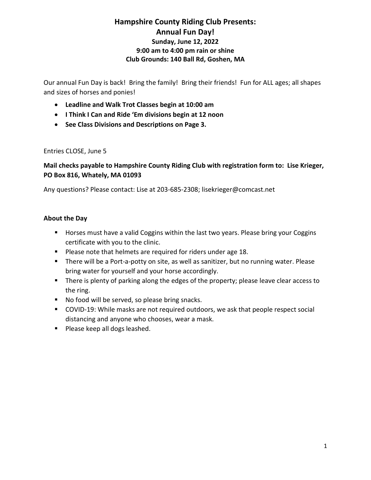# Hampshire County Riding Club Presents: Annual Fun Day! Sunday, June 12, 2022 9:00 am to 4:00 pm rain or shine Club Grounds: 140 Ball Rd, Goshen, MA

Our annual Fun Day is back! Bring the family! Bring their friends! Fun for ALL ages; all shapes and sizes of horses and ponies!

- Leadline and Walk Trot Classes begin at 10:00 am
- I Think I Can and Ride 'Em divisions begin at 12 noon
- See Class Divisions and Descriptions on Page 3.

### Entries CLOSE, June 5

## Mail checks payable to Hampshire County Riding Club with registration form to: Lise Krieger, PO Box 816, Whately, MA 01093

Any questions? Please contact: Lise at 203-685-2308; lisekrieger@comcast.net

### About the Day

- **Horses must have a valid Coggins within the last two years. Please bring your Coggins** certificate with you to the clinic.
- **Please note that helmets are required for riders under age 18.**
- **There will be a Port-a-potty on site, as well as sanitizer, but no running water. Please** bring water for yourself and your horse accordingly.
- **There is plenty of parking along the edges of the property; please leave clear access to** the ring.
- No food will be served, so please bring snacks.
- COVID-19: While masks are not required outdoors, we ask that people respect social distancing and anyone who chooses, wear a mask.
- **Please keep all dogs leashed.**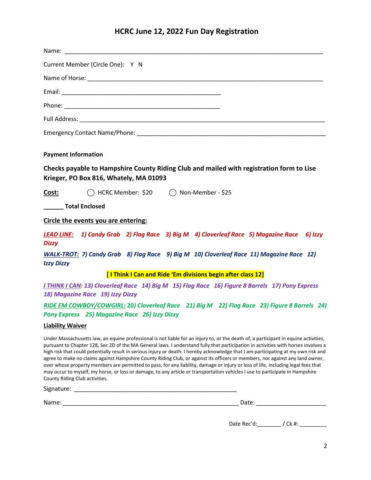# HCRC June 12, 2022 Fun Day Registration

| Current Member (Circle One): Y N                                                                                                                                                                                                                                                                                                                                                                                                                                                                                                                   |
|----------------------------------------------------------------------------------------------------------------------------------------------------------------------------------------------------------------------------------------------------------------------------------------------------------------------------------------------------------------------------------------------------------------------------------------------------------------------------------------------------------------------------------------------------|
|                                                                                                                                                                                                                                                                                                                                                                                                                                                                                                                                                    |
|                                                                                                                                                                                                                                                                                                                                                                                                                                                                                                                                                    |
|                                                                                                                                                                                                                                                                                                                                                                                                                                                                                                                                                    |
|                                                                                                                                                                                                                                                                                                                                                                                                                                                                                                                                                    |
|                                                                                                                                                                                                                                                                                                                                                                                                                                                                                                                                                    |
| <b>Payment Information</b>                                                                                                                                                                                                                                                                                                                                                                                                                                                                                                                         |
| Checks payable to Hampshire County Riding Club and mailed with registration form to Lise<br>Krieger, PO Box 816, Whately, MA 01093                                                                                                                                                                                                                                                                                                                                                                                                                 |
| ◯ HCRC Member: \$20 () Non-Member - \$25<br>Cost:                                                                                                                                                                                                                                                                                                                                                                                                                                                                                                  |
| ________ Total Enclosed                                                                                                                                                                                                                                                                                                                                                                                                                                                                                                                            |
| Circle the events you are entering:                                                                                                                                                                                                                                                                                                                                                                                                                                                                                                                |
| LEAD LINE: 1) Candy Grab 2) Flag Race 3) Big M 4) Cloverleaf Race 5) Magazine Race 6) Izzy<br><b>Dizzy</b>                                                                                                                                                                                                                                                                                                                                                                                                                                         |
| WALK-TROT: 7) Candy Grab 8) Flag Race 9) Big M 10) Cloverleaf Race 11) Magazine Race 12)<br><b>Izzy Dizzy</b>                                                                                                                                                                                                                                                                                                                                                                                                                                      |
| [I Think I Can and Ride 'Em divisions begin after class 12]                                                                                                                                                                                                                                                                                                                                                                                                                                                                                        |
| I THINK I CAN: 13) Cloverleaf Race 14) Big M 15) Flag Race 16) Figure 8 Barrels 17) Pony Express<br>18) Magazine Race 19) Izzy Dizzy                                                                                                                                                                                                                                                                                                                                                                                                               |
| RIDE EM COWBOY/COWGIRL: 20) Cloverleaf Race 21) Big M 22) Flag Race 23) Figure 8 Barrels 24)                                                                                                                                                                                                                                                                                                                                                                                                                                                       |
| <b>Pony Express</b> 25) Magazine Race 26) Izzy Dizzy                                                                                                                                                                                                                                                                                                                                                                                                                                                                                               |
| <b>Liability Waiver</b>                                                                                                                                                                                                                                                                                                                                                                                                                                                                                                                            |
| Under Massachusetts law, an equine professional is not liable for an injury to, or the death of, a participant in equine activities,<br>pursuant to Chapter 128, Sec 2D of the MA General laws. I understand fully that participation in activities with horses involves a<br>high risk that could potentially result in serious injury or death. I hereby acknowledge that I am participating at my own risk and<br>agree to make no claims against Hampshire County Riding Club, or against its officers or members, nor against any land owner, |

over whose property members are permitted to pass, for any liability, damage or injury or loss of life, including legal fees that may occur to myself, my horse, or loss or damage, to any article or transportation vehicles I use to participate in Hampshire County Riding Club activities. Signature: \_\_\_\_\_\_\_\_\_\_\_\_\_\_\_\_\_\_\_\_\_\_\_\_\_\_\_\_\_\_\_\_\_\_\_\_\_\_\_\_\_\_\_\_\_\_\_\_\_

Name: \_\_\_\_\_\_\_\_\_\_\_\_\_\_\_\_\_\_\_\_\_\_\_\_\_\_\_\_\_\_\_\_\_\_\_\_\_\_\_\_\_\_\_\_\_\_\_\_\_\_\_\_\_ Date: \_\_\_\_\_\_\_\_\_\_\_\_\_\_\_\_\_\_\_\_\_

Date  $Rec'd:$  / Ck #: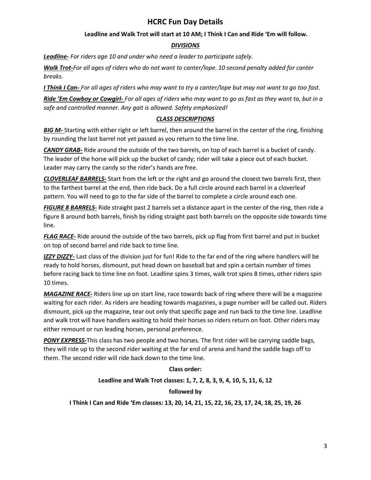## HCRC Fun Day Details

#### Leadline and Walk Trot will start at 10 AM; I Think I Can and Ride 'Em will follow.

### **DIVISIONS**

Leadline- For riders age 10 and under who need a leader to participate safely.

Walk Trot-For all ages of riders who do not want to canter/lope. 10 second penalty added for canter breaks.

**I Think I Can-** For all ages of riders who may want to try a canter/lope but may not want to go too fast.

Ride 'Em Cowboy or Cowgirl- For all ages of riders who may want to go as fast as they want to, but in a safe and controlled manner. Any gait is allowed. Safety emphasized!

## CLASS DESCRIPTIONS

BIG M- Starting with either right or left barrel, then around the barrel in the center of the ring, finishing by rounding the last barrel not yet passed as you return to the time line.

CANDY GRAB- Ride around the outside of the two barrels, on top of each barrel is a bucket of candy. The leader of the horse will pick up the bucket of candy; rider will take a piece out of each bucket. Leader may carry the candy so the rider's hands are free.

CLOVERLEAF BARRELS- Start from the left or the right and go around the closest two barrels first, then to the farthest barrel at the end, then ride back. Do a full circle around each barrel in a cloverleaf pattern. You will need to go to the far side of the barrel to complete a circle around each one.

FIGURE 8 BARRELS- Ride straight past 2 barrels set a distance apart in the center of the ring, then ride a figure 8 around both barrels, finish by riding straight past both barrels on the opposite side towards time line.

FLAG RACE- Ride around the outside of the two barrels, pick up flag from first barrel and put in bucket on top of second barrel and ride back to time line.

IZZY DIZZY- Last class of the division just for fun! Ride to the far end of the ring where handlers will be ready to hold horses, dismount, put head down on baseball bat and spin a certain number of times before racing back to time line on foot. Leadline spins 3 times, walk trot spins 8 times, other riders spin 10 times.

**MAGAZINE RACE-** Riders line up on start line, race towards back of ring where there will be a magazine waiting for each rider. As riders are heading towards magazines, a page number will be called out. Riders dismount, pick up the magazine, tear out only that specific page and run back to the time line. Leadline and walk trot will have handlers waiting to hold their horses so riders return on foot. Other riders may either remount or run leading horses, personal preference.

PONY EXPRESS-This class has two people and two horses. The first rider will be carrying saddle bags, they will ride up to the second rider waiting at the far end of arena and hand the saddle bags off to them. The second rider will ride back down to the time line.

#### Class order:

#### Leadline and Walk Trot classes: 1, 7, 2, 8, 3, 9, 4, 10, 5, 11, 6, 12

#### followed by

I Think I Can and Ride 'Em classes: 13, 20, 14, 21, 15, 22, 16, 23, 17, 24, 18, 25, 19, 26